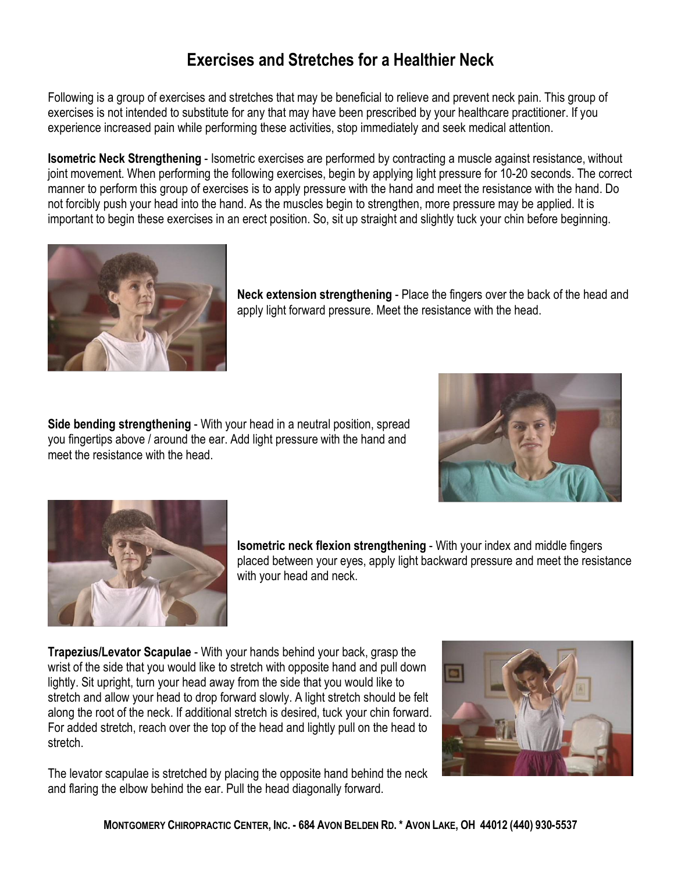## **Exercises and Stretches for a Healthier Neck**

Following is a group of exercises and stretches that may be beneficial to relieve and prevent neck pain. This group of exercises is not intended to substitute for any that may have been prescribed by your healthcare practitioner. If you experience increased pain while performing these activities, stop immediately and seek medical attention.

**Isometric Neck Strengthening** - Isometric exercises are performed by contracting a muscle against resistance, without joint movement. When performing the following exercises, begin by applying light pressure for 10-20 seconds. The correct manner to perform this group of exercises is to apply pressure with the hand and meet the resistance with the hand. Do not forcibly push your head into the hand. As the muscles begin to strengthen, more pressure may be applied. It is important to begin these exercises in an erect position. So, sit up straight and slightly tuck your chin before beginning.



**Neck extension strengthening** - Place the fingers over the back of the head and apply light forward pressure. Meet the resistance with the head.

**Side bending strengthening** - With your head in a neutral position, spread you fingertips above / around the ear. Add light pressure with the hand and meet the resistance with the head.





**Isometric neck flexion strengthening** - With your index and middle fingers placed between your eyes, apply light backward pressure and meet the resistance with your head and neck.

**Trapezius/Levator Scapulae** With your hands behind your back, grasp the wrist of the side that you would like to stretch with opposite hand and pull down lightly. Sit upright, turn your head away from the side that you would like to stretch and allow your head to drop forward slowly. A light stretch should be felt along the root of the neck. If additional stretch is desired, tuck your chin forward. For added stretch, reach over the top of the head and lightly pull on the head to stretch.

The levator scapulae is stretched by placing the opposite hand behind the neck and flaring the elbow behind the ear. Pull the head diagonally forward.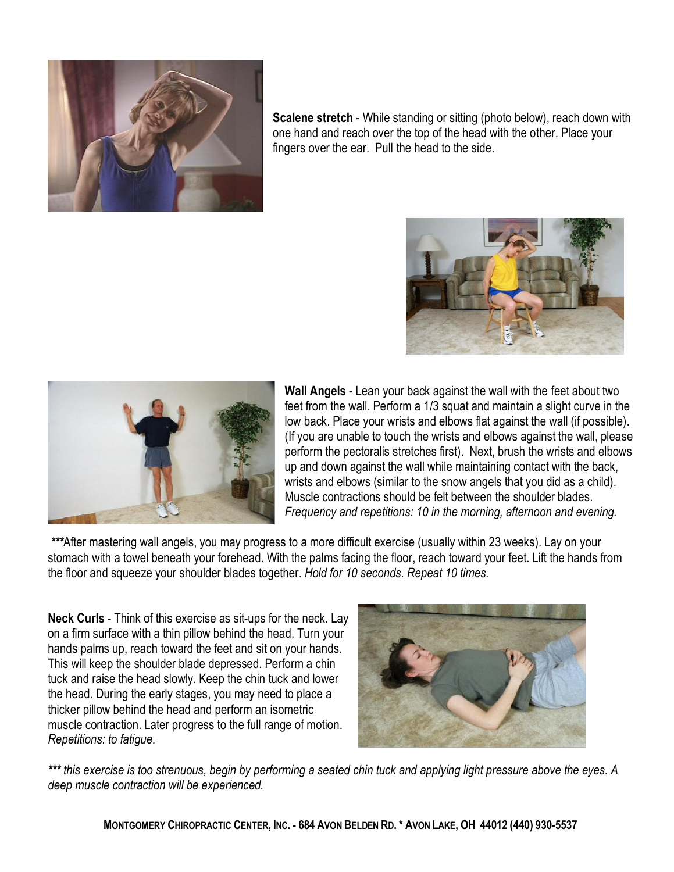

**Scalene stretch** - While standing or sitting (photo below), reach down with one hand and reach over the top of the head with the other. Place your fingers over the ear. Pull the head to the side.





**Wall Angels** Lean your back against the wall with the feet about two feet from the wall. Perform a 1/3 squat and maintain a slight curve in the low back. Place your wrists and elbows flat against the wall (if possible). (If you are unable to touch the wrists and elbows against the wall, please perform the pectoralis stretches first). Next, brush the wrists and elbows up and down against the wall while maintaining contact with the back, wrists and elbows (similar to the snow angels that you did as a child). Muscle contractions should be felt between the shoulder blades. *Frequency and repetitions: 10 in the morning, afternoon and evening.*

*\*\*\**After mastering wall angels, you may progress to a more difficult exercise (usually within 23 weeks). Lay on your stomach with a towel beneath your forehead. With the palms facing the floor, reach toward your feet. Lift the hands from the floor and squeeze your shoulder blades together. *Hold for 10 seconds. Repeat 10 times.*

**Neck Curls** - Think of this exercise as sit-ups for the neck. Lay on a firm surface with a thin pillow behind the head. Turn your hands palms up, reach toward the feet and sit on your hands. This will keep the shoulder blade depressed. Perform a chin tuck and raise the head slowly. Keep the chin tuck and lower the head. During the early stages, you may need to place a thicker pillow behind the head and perform an isometric muscle contraction. Later progress to the full range of motion. *Repetitions: to fatigue.*



*\*\*\* this exercise is too strenuous, begin by performing a seated chin tuck and applying light pressure above the eyes. A deep muscle contraction will be experienced.*